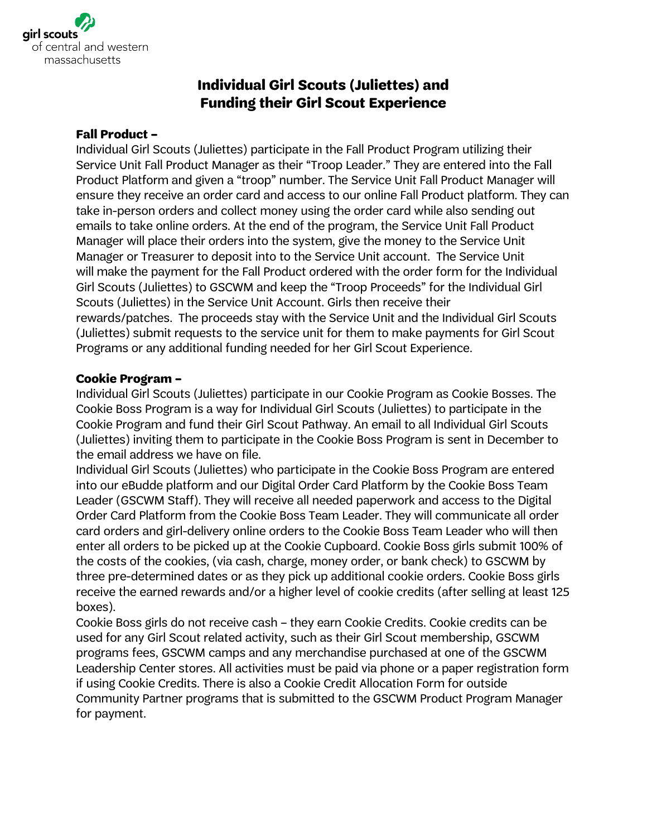

## **Individual Girl Scouts (Juliettes) and Funding their Girl Scout Experience**

## **Fall Product –**

Individual Girl Scouts (Juliettes) participate in the Fall Product Program utilizing their Service Unit Fall Product Manager as their "Troop Leader." They are entered into the Fall Product Platform and given a "troop" number. The Service Unit Fall Product Manager will ensure they receive an order card and access to our online Fall Product platform. They can take in-person orders and collect money using the order card while also sending out emails to take online orders. At the end of the program, the Service Unit Fall Product Manager will place their orders into the system, give the money to the Service Unit Manager or Treasurer to deposit into to the Service Unit account. The Service Unit will make the payment for the Fall Product ordered with the order form for the Individual Girl Scouts (Juliettes) to GSCWM and keep the "Troop Proceeds" for the Individual Girl Scouts (Juliettes) in the Service Unit Account. Girls then receive their rewards/patches. The proceeds stay with the Service Unit and the Individual Girl Scouts (Juliettes) submit requests to the service unit for them to make payments for Girl Scout Programs or any additional funding needed for her Girl Scout Experience.

## **Cookie Program –**

Individual Girl Scouts (Juliettes) participate in our Cookie Program as Cookie Bosses. The Cookie Boss Program is a way for Individual Girl Scouts (Juliettes) to participate in the Cookie Program and fund their Girl Scout Pathway. An email to all Individual Girl Scouts (Juliettes) inviting them to participate in the Cookie Boss Program is sent in December to the email address we have on file.

Individual Girl Scouts (Juliettes) who participate in the Cookie Boss Program are entered into our eBudde platform and our Digital Order Card Platform by the Cookie Boss Team Leader (GSCWM Staff). They will receive all needed paperwork and access to the Digital Order Card Platform from the Cookie Boss Team Leader. They will communicate all order card orders and girl-delivery online orders to the Cookie Boss Team Leader who will then enter all orders to be picked up at the Cookie Cupboard. Cookie Boss girls submit 100% of the costs of the cookies, (via cash, charge, money order, or bank check) to GSCWM by three pre-determined dates or as they pick up additional cookie orders. Cookie Boss girls receive the earned rewards and/or a higher level of cookie credits (after selling at least 125 boxes).

Cookie Boss girls do not receive cash – they earn Cookie Credits. Cookie credits can be used for any Girl Scout related activity, such as their Girl Scout membership, GSCWM programs fees, GSCWM camps and any merchandise purchased at one of the GSCWM Leadership Center stores. All activities must be paid via phone or a paper registration form if using Cookie Credits. There is also a Cookie Credit Allocation Form for outside Community Partner programs that is submitted to the GSCWM Product Program Manager for payment.